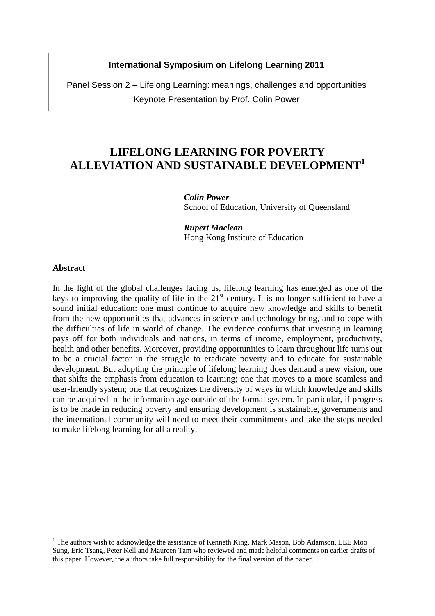## **International Symposium on Lifelong Learning 2011**

Panel Session 2 – Lifelong Learning: meanings, challenges and opportunities Keynote Presentation by Prof. Colin Power

# **LIFELONG LEARNING FOR POVERTY ALLEVIATION AND SUSTAINABLE DEVELOPMENT1**

*Colin Power*  School of Education, University of Queensland

*Rupert Maclean*  Hong Kong Institute of Education

#### **Abstract**

1

In the light of the global challenges facing us, lifelong learning has emerged as one of the keys to improving the quality of life in the  $21<sup>st</sup>$  century. It is no longer sufficient to have a sound initial education: one must continue to acquire new knowledge and skills to benefit from the new opportunities that advances in science and technology bring, and to cope with the difficulties of life in world of change. The evidence confirms that investing in learning pays off for both individuals and nations, in terms of income, employment, productivity, health and other benefits. Moreover, providing opportunities to learn throughout life turns out to be a crucial factor in the struggle to eradicate poverty and to educate for sustainable development. But adopting the principle of lifelong learning does demand a new vision, one that shifts the emphasis from education to learning; one that moves to a more seamless and user-friendly system; one that recognizes the diversity of ways in which knowledge and skills can be acquired in the information age outside of the formal system. In particular, if progress is to be made in reducing poverty and ensuring development is sustainable, governments and the international community will need to meet their commitments and take the steps needed to make lifelong learning for all a reality.

<sup>&</sup>lt;sup>1</sup> The authors wish to acknowledge the assistance of Kenneth King, Mark Mason, Bob Adamson, LEE Moo Sung, Eric Tsang, Peter Kell and Maureen Tam who reviewed and made helpful comments on earlier drafts of this paper. However, the authors take full responsibility for the final version of the paper.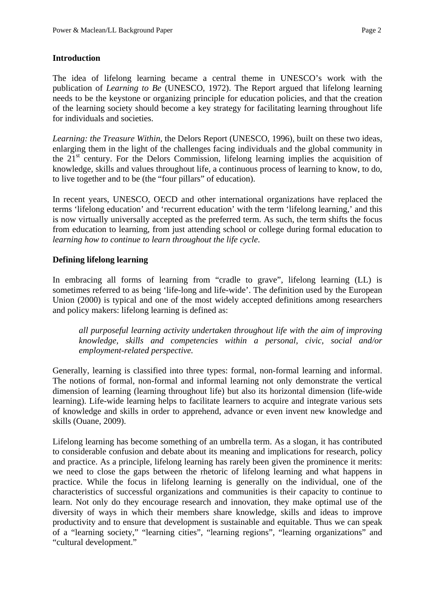## **Introduction**

The idea of lifelong learning became a central theme in UNESCO's work with the publication of *Learning to Be* (UNESCO, 1972). The Report argued that lifelong learning needs to be the keystone or organizing principle for education policies, and that the creation of the learning society should become a key strategy for facilitating learning throughout life for individuals and societies.

*Learning: the Treasure Within*, the Delors Report (UNESCO, 1996), built on these two ideas, enlarging them in the light of the challenges facing individuals and the global community in the  $21<sup>st</sup>$  century. For the Delors Commission, lifelong learning implies the acquisition of knowledge, skills and values throughout life, a continuous process of learning to know, to do, to live together and to be (the "four pillars" of education).

In recent years, UNESCO, OECD and other international organizations have replaced the terms 'lifelong education' and 'recurrent education' with the term 'lifelong learning,' and this is now virtually universally accepted as the preferred term. As such, the term shifts the focus from education to learning, from just attending school or college during formal education to *learning how to continue to learn throughout the life cycle*.

## **Defining lifelong learning**

In embracing all forms of learning from "cradle to grave", lifelong learning (LL) is sometimes referred to as being 'life-long and life-wide'. The definition used by the European Union (2000) is typical and one of the most widely accepted definitions among researchers and policy makers: lifelong learning is defined as:

*all purposeful learning activity undertaken throughout life with the aim of improving knowledge, skills and competencies within a personal, civic, social and/or employment-related perspective.* 

Generally, learning is classified into three types: formal, non-formal learning and informal. The notions of formal, non-formal and informal learning not only demonstrate the vertical dimension of learning (learning throughout life) but also its horizontal dimension (life-wide learning). Life-wide learning helps to facilitate learners to acquire and integrate various sets of knowledge and skills in order to apprehend, advance or even invent new knowledge and skills (Ouane, 2009).

Lifelong learning has become something of an umbrella term. As a slogan, it has contributed to considerable confusion and debate about its meaning and implications for research, policy and practice. As a principle, lifelong learning has rarely been given the prominence it merits: we need to close the gaps between the rhetoric of lifelong learning and what happens in practice. While the focus in lifelong learning is generally on the individual, one of the characteristics of successful organizations and communities is their capacity to continue to learn. Not only do they encourage research and innovation, they make optimal use of the diversity of ways in which their members share knowledge, skills and ideas to improve productivity and to ensure that development is sustainable and equitable. Thus we can speak of a "learning society," "learning cities", "learning regions", "learning organizations" and "cultural development."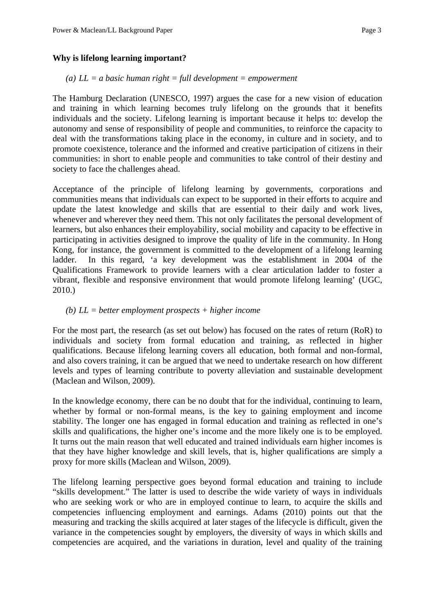## **Why is lifelong learning important?**

#### *(a) LL = a basic human right = full development = empowerment*

The Hamburg Declaration (UNESCO, 1997) argues the case for a new vision of education and training in which learning becomes truly lifelong on the grounds that it benefits individuals and the society. Lifelong learning is important because it helps to: develop the autonomy and sense of responsibility of people and communities, to reinforce the capacity to deal with the transformations taking place in the economy, in culture and in society, and to promote coexistence, tolerance and the informed and creative participation of citizens in their communities: in short to enable people and communities to take control of their destiny and society to face the challenges ahead.

Acceptance of the principle of lifelong learning by governments, corporations and communities means that individuals can expect to be supported in their efforts to acquire and update the latest knowledge and skills that are essential to their daily and work lives, whenever and wherever they need them. This not only facilitates the personal development of learners, but also enhances their employability, social mobility and capacity to be effective in participating in activities designed to improve the quality of life in the community. In Hong Kong, for instance, the government is committed to the development of a lifelong learning ladder. In this regard, 'a key development was the establishment in 2004 of the Qualifications Framework to provide learners with a clear articulation ladder to foster a vibrant, flexible and responsive environment that would promote lifelong learning' (UGC, 2010.)

### *(b) LL = better employment prospects + higher income*

For the most part, the research (as set out below) has focused on the rates of return (RoR) to individuals and society from formal education and training, as reflected in higher qualifications. Because lifelong learning covers all education, both formal and non-formal, and also covers training, it can be argued that we need to undertake research on how different levels and types of learning contribute to poverty alleviation and sustainable development (Maclean and Wilson, 2009).

In the knowledge economy, there can be no doubt that for the individual, continuing to learn, whether by formal or non-formal means, is the key to gaining employment and income stability. The longer one has engaged in formal education and training as reflected in one's skills and qualifications, the higher one's income and the more likely one is to be employed. It turns out the main reason that well educated and trained individuals earn higher incomes is that they have higher knowledge and skill levels, that is, higher qualifications are simply a proxy for more skills (Maclean and Wilson, 2009).

The lifelong learning perspective goes beyond formal education and training to include "skills development." The latter is used to describe the wide variety of ways in individuals who are seeking work or who are in employed continue to learn, to acquire the skills and competencies influencing employment and earnings. Adams (2010) points out that the measuring and tracking the skills acquired at later stages of the lifecycle is difficult, given the variance in the competencies sought by employers, the diversity of ways in which skills and competencies are acquired, and the variations in duration, level and quality of the training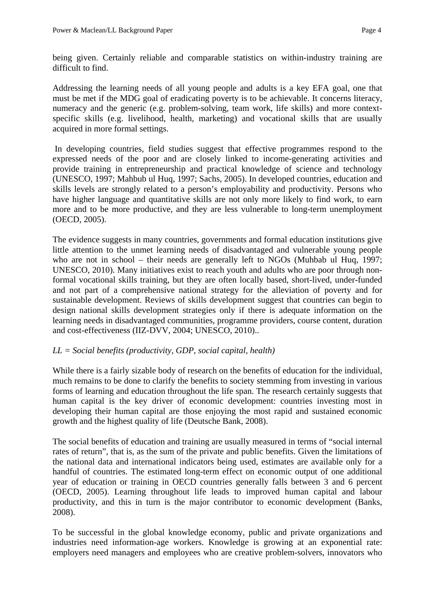being given. Certainly reliable and comparable statistics on within-industry training are difficult to find.

Addressing the learning needs of all young people and adults is a key EFA goal, one that must be met if the MDG goal of eradicating poverty is to be achievable. It concerns literacy, numeracy and the generic (e.g. problem-solving, team work, life skills) and more contextspecific skills (e.g. livelihood, health, marketing) and vocational skills that are usually acquired in more formal settings.

 In developing countries, field studies suggest that effective programmes respond to the expressed needs of the poor and are closely linked to income-generating activities and provide training in entrepreneurship and practical knowledge of science and technology (UNESCO, 1997; Mahbub ul Huq, 1997; Sachs, 2005). In developed countries, education and skills levels are strongly related to a person's employability and productivity. Persons who have higher language and quantitative skills are not only more likely to find work, to earn more and to be more productive, and they are less vulnerable to long-term unemployment (OECD, 2005).

The evidence suggests in many countries, governments and formal education institutions give little attention to the unmet learning needs of disadvantaged and vulnerable young people who are not in school – their needs are generally left to NGOs (Muhbab ul Huq, 1997; UNESCO, 2010). Many initiatives exist to reach youth and adults who are poor through nonformal vocational skills training, but they are often locally based, short-lived, under-funded and not part of a comprehensive national strategy for the alleviation of poverty and for sustainable development. Reviews of skills development suggest that countries can begin to design national skills development strategies only if there is adequate information on the learning needs in disadvantaged communities, programme providers, course content, duration and cost-effectiveness (IIZ-DVV, 2004; UNESCO, 2010)..

### *LL = Social benefits (productivity, GDP, social capital, health)*

While there is a fairly sizable body of research on the benefits of education for the individual, much remains to be done to clarify the benefits to society stemming from investing in various forms of learning and education throughout the life span. The research certainly suggests that human capital is the key driver of economic development: countries investing most in developing their human capital are those enjoying the most rapid and sustained economic growth and the highest quality of life (Deutsche Bank, 2008).

The social benefits of education and training are usually measured in terms of "social internal rates of return", that is, as the sum of the private and public benefits. Given the limitations of the national data and international indicators being used, estimates are available only for a handful of countries. The estimated long-term effect on economic output of one additional year of education or training in OECD countries generally falls between 3 and 6 percent (OECD, 2005). Learning throughout life leads to improved human capital and labour productivity, and this in turn is the major contributor to economic development (Banks, 2008).

To be successful in the global knowledge economy, public and private organizations and industries need information-age workers. Knowledge is growing at an exponential rate: employers need managers and employees who are creative problem-solvers, innovators who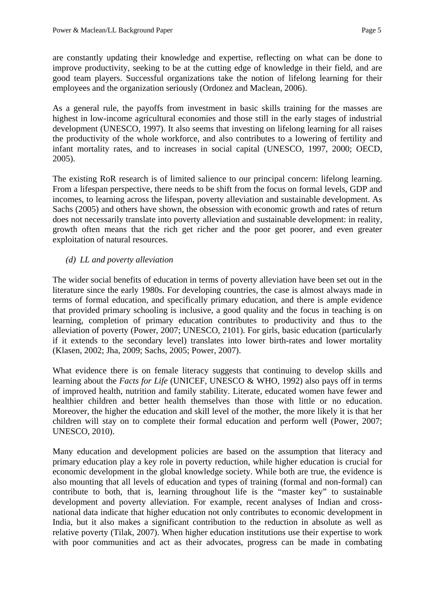are constantly updating their knowledge and expertise, reflecting on what can be done to improve productivity, seeking to be at the cutting edge of knowledge in their field, and are good team players. Successful organizations take the notion of lifelong learning for their employees and the organization seriously (Ordonez and Maclean, 2006).

As a general rule, the payoffs from investment in basic skills training for the masses are highest in low-income agricultural economies and those still in the early stages of industrial development (UNESCO, 1997). It also seems that investing on lifelong learning for all raises the productivity of the whole workforce, and also contributes to a lowering of fertility and infant mortality rates, and to increases in social capital (UNESCO, 1997, 2000; OECD, 2005).

The existing RoR research is of limited salience to our principal concern: lifelong learning. From a lifespan perspective, there needs to be shift from the focus on formal levels, GDP and incomes, to learning across the lifespan, poverty alleviation and sustainable development. As Sachs (2005) and others have shown, the obsession with economic growth and rates of return does not necessarily translate into poverty alleviation and sustainable development: in reality, growth often means that the rich get richer and the poor get poorer, and even greater exploitation of natural resources.

## *(d) LL and poverty alleviation*

The wider social benefits of education in terms of poverty alleviation have been set out in the literature since the early 1980s. For developing countries, the case is almost always made in terms of formal education, and specifically primary education, and there is ample evidence that provided primary schooling is inclusive, a good quality and the focus in teaching is on learning, completion of primary education contributes to productivity and thus to the alleviation of poverty (Power, 2007; UNESCO, 2101). For girls, basic education (particularly if it extends to the secondary level) translates into lower birth-rates and lower mortality (Klasen, 2002; Jha, 2009; Sachs, 2005; Power, 2007).

What evidence there is on female literacy suggests that continuing to develop skills and learning about the *Facts for Life* (UNICEF, UNESCO & WHO, 1992) also pays off in terms of improved health, nutrition and family stability. Literate, educated women have fewer and healthier children and better health themselves than those with little or no education. Moreover, the higher the education and skill level of the mother, the more likely it is that her children will stay on to complete their formal education and perform well (Power, 2007; UNESCO, 2010).

Many education and development policies are based on the assumption that literacy and primary education play a key role in poverty reduction, while higher education is crucial for economic development in the global knowledge society. While both are true, the evidence is also mounting that all levels of education and types of training (formal and non-formal) can contribute to both, that is, learning throughout life is the "master key" to sustainable development and poverty alleviation. For example, recent analyses of Indian and crossnational data indicate that higher education not only contributes to economic development in India, but it also makes a significant contribution to the reduction in absolute as well as relative poverty (Tilak, 2007). When higher education institutions use their expertise to work with poor communities and act as their advocates, progress can be made in combating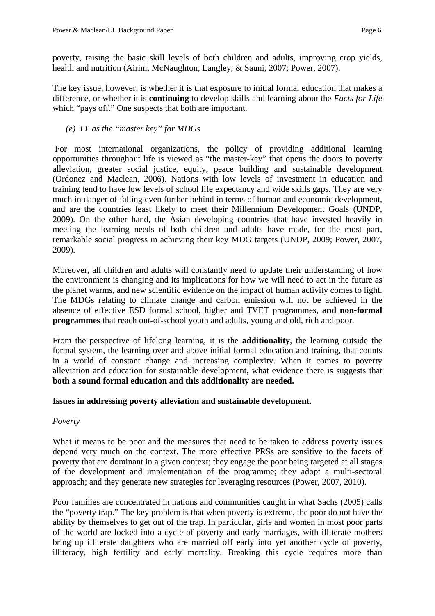poverty, raising the basic skill levels of both children and adults, improving crop yields, health and nutrition (Airini, McNaughton, Langley, & Sauni, 2007; Power, 2007).

The key issue, however, is whether it is that exposure to initial formal education that makes a difference, or whether it is **continuing** to develop skills and learning about the *Facts for Life*  which "pays off." One suspects that both are important.

## *(e) LL as the "master key" for MDGs*

 For most international organizations, the policy of providing additional learning opportunities throughout life is viewed as "the master-key" that opens the doors to poverty alleviation, greater social justice, equity, peace building and sustainable development (Ordonez and Maclean, 2006). Nations with low levels of investment in education and training tend to have low levels of school life expectancy and wide skills gaps. They are very much in danger of falling even further behind in terms of human and economic development, and are the countries least likely to meet their Millennium Development Goals (UNDP, 2009). On the other hand, the Asian developing countries that have invested heavily in meeting the learning needs of both children and adults have made, for the most part, remarkable social progress in achieving their key MDG targets (UNDP, 2009; Power, 2007, 2009).

Moreover, all children and adults will constantly need to update their understanding of how the environment is changing and its implications for how we will need to act in the future as the planet warms, and new scientific evidence on the impact of human activity comes to light. The MDGs relating to climate change and carbon emission will not be achieved in the absence of effective ESD formal school, higher and TVET programmes, **and non-formal programmes** that reach out-of-school youth and adults, young and old, rich and poor.

From the perspective of lifelong learning, it is the **additionality**, the learning outside the formal system, the learning over and above initial formal education and training, that counts in a world of constant change and increasing complexity. When it comes to poverty alleviation and education for sustainable development, what evidence there is suggests that **both a sound formal education and this additionality are needed.** 

### **Issues in addressing poverty alleviation and sustainable development**.

### *Poverty*

What it means to be poor and the measures that need to be taken to address poverty issues depend very much on the context. The more effective PRSs are sensitive to the facets of poverty that are dominant in a given context; they engage the poor being targeted at all stages of the development and implementation of the programme; they adopt a multi-sectoral approach; and they generate new strategies for leveraging resources (Power, 2007, 2010).

Poor families are concentrated in nations and communities caught in what Sachs (2005) calls the "poverty trap." The key problem is that when poverty is extreme, the poor do not have the ability by themselves to get out of the trap. In particular, girls and women in most poor parts of the world are locked into a cycle of poverty and early marriages, with illiterate mothers bring up illiterate daughters who are married off early into yet another cycle of poverty, illiteracy, high fertility and early mortality. Breaking this cycle requires more than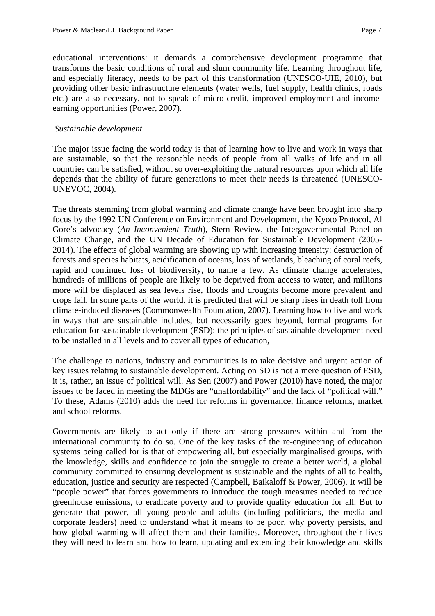educational interventions: it demands a comprehensive development programme that transforms the basic conditions of rural and slum community life. Learning throughout life, and especially literacy, needs to be part of this transformation (UNESCO-UIE, 2010), but providing other basic infrastructure elements (water wells, fuel supply, health clinics, roads etc.) are also necessary, not to speak of micro-credit, improved employment and incomeearning opportunities (Power, 2007).

### *Sustainable development*

The major issue facing the world today is that of learning how to live and work in ways that are sustainable, so that the reasonable needs of people from all walks of life and in all countries can be satisfied, without so over-exploiting the natural resources upon which all life depends that the ability of future generations to meet their needs is threatened (UNESCO-UNEVOC, 2004).

The threats stemming from global warming and climate change have been brought into sharp focus by the 1992 UN Conference on Environment and Development, the Kyoto Protocol, Al Gore's advocacy (*An Inconvenient Truth*), Stern Review, the Intergovernmental Panel on Climate Change, and the UN Decade of Education for Sustainable Development (2005- 2014). The effects of global warming are showing up with increasing intensity: destruction of forests and species habitats, acidification of oceans, loss of wetlands, bleaching of coral reefs, rapid and continued loss of biodiversity, to name a few. As climate change accelerates, hundreds of millions of people are likely to be deprived from access to water, and millions more will be displaced as sea levels rise, floods and droughts become more prevalent and crops fail. In some parts of the world, it is predicted that will be sharp rises in death toll from climate-induced diseases (Commonwealth Foundation, 2007). Learning how to live and work in ways that are sustainable includes, but necessarily goes beyond, formal programs for education for sustainable development (ESD): the principles of sustainable development need to be installed in all levels and to cover all types of education,

The challenge to nations, industry and communities is to take decisive and urgent action of key issues relating to sustainable development. Acting on SD is not a mere question of ESD, it is, rather, an issue of political will. As Sen (2007) and Power (2010) have noted, the major issues to be faced in meeting the MDGs are "unaffordability" and the lack of "political will." To these, Adams (2010) adds the need for reforms in governance, finance reforms, market and school reforms.

Governments are likely to act only if there are strong pressures within and from the international community to do so. One of the key tasks of the re-engineering of education systems being called for is that of empowering all, but especially marginalised groups, with the knowledge, skills and confidence to join the struggle to create a better world, a global community committed to ensuring development is sustainable and the rights of all to health, education, justice and security are respected (Campbell, Baikaloff & Power, 2006). It will be "people power" that forces governments to introduce the tough measures needed to reduce greenhouse emissions, to eradicate poverty and to provide quality education for all. But to generate that power, all young people and adults (including politicians, the media and corporate leaders) need to understand what it means to be poor, why poverty persists, and how global warming will affect them and their families. Moreover, throughout their lives they will need to learn and how to learn, updating and extending their knowledge and skills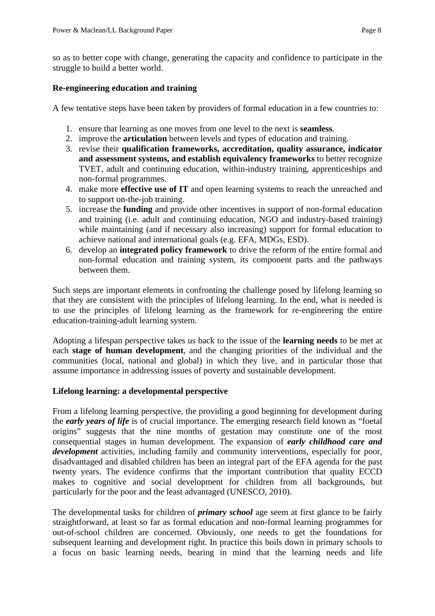so as to better cope with change, generating the capacity and confidence to participate in the struggle to build a better world.

## **Re-engineering education and training**

A few tentative steps have been taken by providers of formal education in a few countries to:

- 1. ensure that learning as one moves from one level to the next is **seamless**.
- 2. improve the **articulation** between levels and types of education and training.
- 3. revise their **qualification frameworks, accreditation, quality assurance, indicator and assessment systems, and establish equivalency frameworks** to better recognize TVET, adult and continuing education, within-industry training, apprenticeships and non-formal programmes.
- 4. make more **effective use of IT** and open learning systems to reach the unreached and to support on-the-job training.
- 5. increase the **funding** and provide other incentives in support of non-formal education and training (i.e. adult and continuing education, NGO and industry-based training) while maintaining (and if necessary also increasing) support for formal education to achieve national and international goals (e.g. EFA, MDGs, ESD).
- 6. develop an **integrated policy framework** to drive the reform of the entire formal and non-formal education and training system, its component parts and the pathways between them.

Such steps are important elements in confronting the challenge posed by lifelong learning so that they are consistent with the principles of lifelong learning. In the end, what is needed is to use the principles of lifelong learning as the framework for re-engineering the entire education-training-adult learning system.

Adopting a lifespan perspective takes us back to the issue of the **learning needs** to be met at each **stage of human development**, and the changing priorities of the individual and the communities (local, national and global) in which they live, and in particular those that assume importance in addressing issues of poverty and sustainable development.

## **Lifelong learning: a developmental perspective**

From a lifelong learning perspective, the providing a good beginning for development during the *early years of life* is of crucial importance. The emerging research field known as "foetal origins" suggests that the nine months of gestation may constitute one of the most consequential stages in human development. The expansion of *early childhood care and development* activities, including family and community interventions, especially for poor, disadvantaged and disabled children has been an integral part of the EFA agenda for the past twenty years. The evidence confirms that the important contribution that quality ECCD makes to cognitive and social development for children from all backgrounds, but particularly for the poor and the least advantaged (UNESCO, 2010).

The developmental tasks for children of *primary school* age seem at first glance to be fairly straightforward, at least so far as formal education and non-formal learning programmes for out-of-school children are concerned. Obviously, one needs to get the foundations for subsequent learning and development right. In practice this boils down in primary schools to a focus on basic learning needs, bearing in mind that the learning needs and life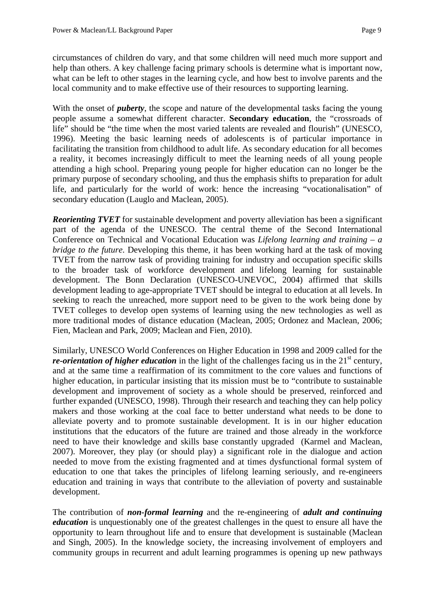circumstances of children do vary, and that some children will need much more support and help than others. A key challenge facing primary schools is determine what is important now, what can be left to other stages in the learning cycle, and how best to involve parents and the local community and to make effective use of their resources to supporting learning.

With the onset of *puberty*, the scope and nature of the developmental tasks facing the young people assume a somewhat different character. **Secondary education**, the "crossroads of life" should be "the time when the most varied talents are revealed and flourish" (UNESCO, 1996). Meeting the basic learning needs of adolescents is of particular importance in facilitating the transition from childhood to adult life. As secondary education for all becomes a reality, it becomes increasingly difficult to meet the learning needs of all young people attending a high school. Preparing young people for higher education can no longer be the primary purpose of secondary schooling, and thus the emphasis shifts to preparation for adult life, and particularly for the world of work: hence the increasing "vocationalisation" of secondary education (Lauglo and Maclean, 2005).

*Reorienting TVET* for sustainable development and poverty alleviation has been a significant part of the agenda of the UNESCO. The central theme of the Second International Conference on Technical and Vocational Education was *Lifelong learning and training – a bridge to the future*. Developing this theme, it has been working hard at the task of moving TVET from the narrow task of providing training for industry and occupation specific skills to the broader task of workforce development and lifelong learning for sustainable development. The Bonn Declaration (UNESCO-UNEVOC, 2004) affirmed that skills development leading to age-appropriate TVET should be integral to education at all levels. In seeking to reach the unreached, more support need to be given to the work being done by TVET colleges to develop open systems of learning using the new technologies as well as more traditional modes of distance education (Maclean, 2005; Ordonez and Maclean, 2006; Fien, Maclean and Park, 2009; Maclean and Fien, 2010).

Similarly, UNESCO World Conferences on Higher Education in 1998 and 2009 called for the *re-orientation of higher education* in the light of the challenges facing us in the 21<sup>st</sup> century, and at the same time a reaffirmation of its commitment to the core values and functions of higher education, in particular insisting that its mission must be to "contribute to sustainable development and improvement of society as a whole should be preserved, reinforced and further expanded (UNESCO, 1998). Through their research and teaching they can help policy makers and those working at the coal face to better understand what needs to be done to alleviate poverty and to promote sustainable development. It is in our higher education institutions that the educators of the future are trained and those already in the workforce need to have their knowledge and skills base constantly upgraded (Karmel and Maclean, 2007). Moreover, they play (or should play) a significant role in the dialogue and action needed to move from the existing fragmented and at times dysfunctional formal system of education to one that takes the principles of lifelong learning seriously, and re-engineers education and training in ways that contribute to the alleviation of poverty and sustainable development.

The contribution of *non-formal learning* and the re-engineering of *adult and continuing education* is unquestionably one of the greatest challenges in the quest to ensure all have the opportunity to learn throughout life and to ensure that development is sustainable (Maclean and Singh, 2005). In the knowledge society, the increasing involvement of employers and community groups in recurrent and adult learning programmes is opening up new pathways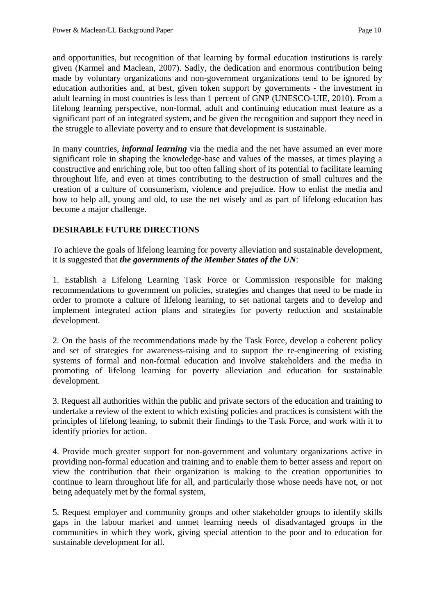and opportunities, but recognition of that learning by formal education institutions is rarely given (Karmel and Maclean, 2007). Sadly, the dedication and enormous contribution being made by voluntary organizations and non-government organizations tend to be ignored by education authorities and, at best, given token support by governments - the investment in adult learning in most countries is less than 1 percent of GNP (UNESCO-UIE, 2010). From a lifelong learning perspective, non-formal, adult and continuing education must feature as a significant part of an integrated system, and be given the recognition and support they need in the struggle to alleviate poverty and to ensure that development is sustainable.

In many countries, *informal learning* via the media and the net have assumed an ever more significant role in shaping the knowledge-base and values of the masses, at times playing a constructive and enriching role, but too often falling short of its potential to facilitate learning throughout life, and even at times contributing to the destruction of small cultures and the creation of a culture of consumerism, violence and prejudice. How to enlist the media and how to help all, young and old, to use the net wisely and as part of lifelong education has become a major challenge.

## **DESIRABLE FUTURE DIRECTIONS**

To achieve the goals of lifelong learning for poverty alleviation and sustainable development, it is suggested that *the governments of the Member States of the UN*:

1. Establish a Lifelong Learning Task Force or Commission responsible for making recommendations to government on policies, strategies and changes that need to be made in order to promote a culture of lifelong learning, to set national targets and to develop and implement integrated action plans and strategies for poverty reduction and sustainable development.

2. On the basis of the recommendations made by the Task Force, develop a coherent policy and set of strategies for awareness-raising and to support the re-engineering of existing systems of formal and non-formal education and involve stakeholders and the media in promoting of lifelong learning for poverty alleviation and education for sustainable development.

3. Request all authorities within the public and private sectors of the education and training to undertake a review of the extent to which existing policies and practices is consistent with the principles of lifelong leaning, to submit their findings to the Task Force, and work with it to identify priories for action.

4. Provide much greater support for non-government and voluntary organizations active in providing non-formal education and training and to enable them to better assess and report on view the contribution that their organization is making to the creation opportunities to continue to learn throughout life for all, and particularly those whose needs have not, or not being adequately met by the formal system,

5. Request employer and community groups and other stakeholder groups to identify skills gaps in the labour market and unmet learning needs of disadvantaged groups in the communities in which they work, giving special attention to the poor and to education for sustainable development for all.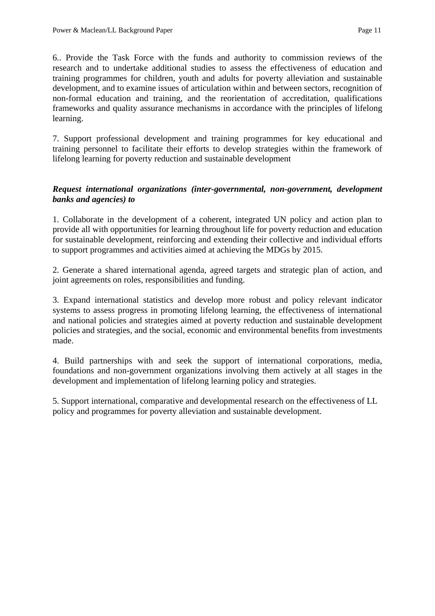6.. Provide the Task Force with the funds and authority to commission reviews of the research and to undertake additional studies to assess the effectiveness of education and training programmes for children, youth and adults for poverty alleviation and sustainable development, and to examine issues of articulation within and between sectors, recognition of non-formal education and training, and the reorientation of accreditation, qualifications frameworks and quality assurance mechanisms in accordance with the principles of lifelong learning.

7. Support professional development and training programmes for key educational and training personnel to facilitate their efforts to develop strategies within the framework of lifelong learning for poverty reduction and sustainable development

## *Request international organizations (inter-governmental, non-government, development banks and agencies) to*

1. Collaborate in the development of a coherent, integrated UN policy and action plan to provide all with opportunities for learning throughout life for poverty reduction and education for sustainable development, reinforcing and extending their collective and individual efforts to support programmes and activities aimed at achieving the MDGs by 2015.

2. Generate a shared international agenda, agreed targets and strategic plan of action, and joint agreements on roles, responsibilities and funding.

3. Expand international statistics and develop more robust and policy relevant indicator systems to assess progress in promoting lifelong learning, the effectiveness of international and national policies and strategies aimed at poverty reduction and sustainable development policies and strategies, and the social, economic and environmental benefits from investments made.

4. Build partnerships with and seek the support of international corporations, media, foundations and non-government organizations involving them actively at all stages in the development and implementation of lifelong learning policy and strategies.

5. Support international, comparative and developmental research on the effectiveness of LL policy and programmes for poverty alleviation and sustainable development.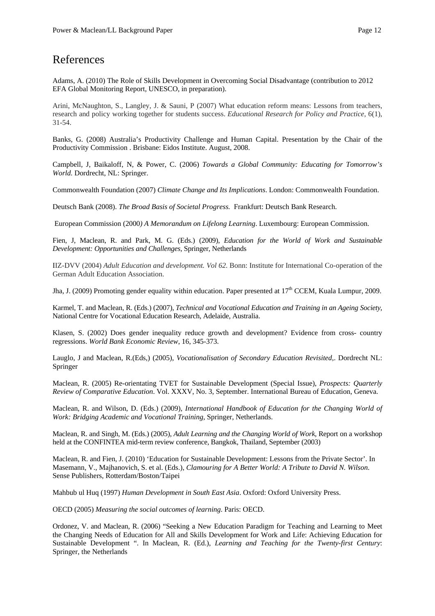## References

Adams, A. (2010) The Role of Skills Development in Overcoming Social Disadvantage (contribution to 2012 EFA Global Monitoring Report, UNESCO, in preparation).

Arini, McNaughton, S., Langley, J. & Sauni, P (2007) What education reform means: Lessons from teachers, research and policy working together for students success. *Educational Research for Policy and Practice,* 6(1), 31-54.

Banks, G. (2008) Australia's Productivity Challenge and Human Capital. Presentation by the Chair of the Productivity Commission . Brisbane: Eidos Institute. August, 2008.

Campbell, J, Baikaloff, N, & Power, C. (2006) *Towards a Global Community: Educating for Tomorrow's World.* Dordrecht, NL: Springer.

Commonwealth Foundation (2007) *Climate Change and Its Implications*. London: Commonwealth Foundation.

Deutsch Bank (2008). *The Broad Basis of Societal Progress.* Frankfurt: Deutsch Bank Research.

European Commission (2000*) A Memorandum on Lifelong Learning*. Luxembourg: European Commission.

Fien, J, Maclean, R. and Park, M. G. (Eds.) (2009), *Education for the World of Work and Sustainable Development: Opportunities and Challenges,* Springer, Netherlands

IIZ-DVV (2004) *Adult Education and development. Vol 62.* Bonn: Institute for International Co-operation of the German Adult Education Association.

Jha, J. (2009) Promoting gender equality within education. Paper presented at  $17<sup>th</sup> CCEM$ , Kuala Lumpur, 2009.

Karmel, T. and Maclean, R. (Eds.) (2007), *Technical and Vocational Education and Training in an Ageing Society*, National Centre for Vocational Education Research, Adelaide, Australia.

Klasen, S. (2002) Does gender inequality reduce growth and development? Evidence from cross- country regressions. *World Bank Economic Review*, 16, 345-373.

Lauglo, J and Maclean, R.(Eds,) (2005), *Vocationalisation of Secondary Education Revisited*,. Dordrecht NL: Springer

Maclean, R. (2005) Re-orientating TVET for Sustainable Development (Special Issue), *Prospects: Quarterly Review of Comparative Education*. Vol. XXXV, No. 3, September. International Bureau of Education, Geneva.

Maclean, R. and Wilson, D. (Eds.) (2009), *International Handbook of Education for the Changing World of Work: Bridging Academic and Vocational Training,* Springer, Netherlands.

Maclean, R. and Singh, M. (Eds.) (2005), *Adult Learning and the Changing World of Work*, Report on a workshop held at the CONFINTEA mid-term review conference, Bangkok, Thailand, September (2003)

Maclean, R. and Fien, J. (2010) 'Education for Sustainable Development: Lessons from the Private Sector'. In Masemann, V., Majhanovich, S. et al. (Eds.), *Clamouring for A Better World: A Tribute to David N. Wilson*. Sense Publishers, Rotterdam/Boston/Taipei

Mahbub ul Huq (1997) *Human Development in South East Asia*. Oxford: Oxford University Press.

OECD (2005) *Measuring the social outcomes of learning*. Paris: OECD.

Ordonez, V. and Maclean, R. (2006) "Seeking a New Education Paradigm for Teaching and Learning to Meet the Changing Needs of Education for All and Skills Development for Work and Life: Achieving Education for Sustainable Development ". In Maclean, R. (Ed.), *Learning and Teaching for the Twenty-first Century*: Springer, the Netherlands